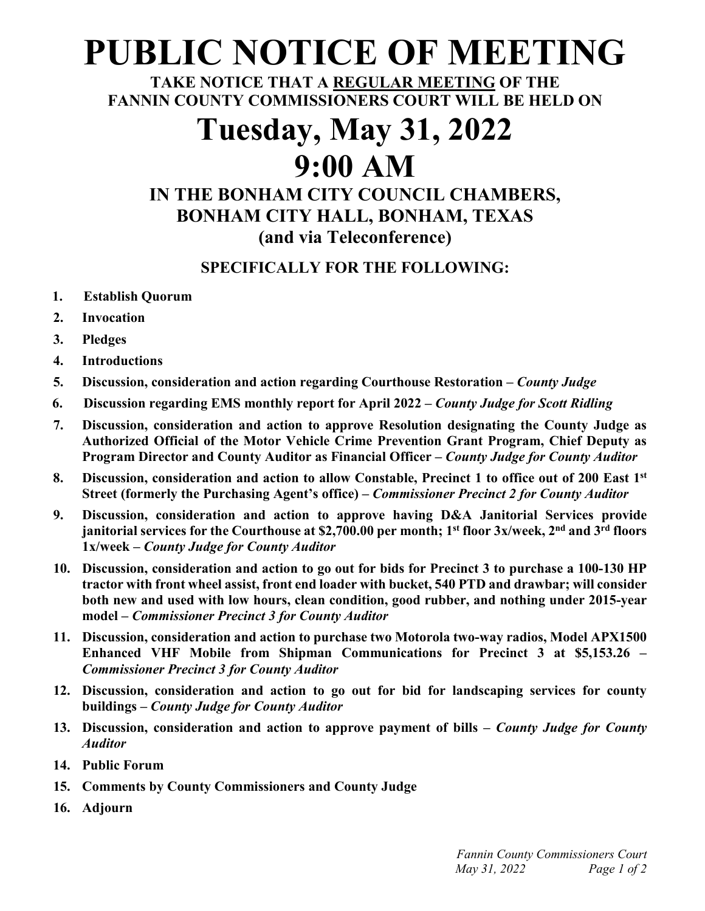## **PUBLIC NOTICE OF MEETING**

**TAKE NOTICE THAT A REGULAR MEETING OF THE FANNIN COUNTY COMMISSIONERS COURT WILL BE HELD ON**

# **Tuesday, May 31, 2022**

### **9:00 AM**

### **IN THE BONHAM CITY COUNCIL CHAMBERS, BONHAM CITY HALL, BONHAM, TEXAS (and via Teleconference)**

#### **SPECIFICALLY FOR THE FOLLOWING:**

- **1. Establish Quorum**
- **2. Invocation**
- **3. Pledges**
- **4. Introductions**
- **5. Discussion, consideration and action regarding Courthouse Restoration –** *County Judge*
- **6. Discussion regarding EMS monthly report for April 2022 –** *County Judge for Scott Ridling*
- **7. Discussion, consideration and action to approve Resolution designating the County Judge as Authorized Official of the Motor Vehicle Crime Prevention Grant Program, Chief Deputy as Program Director and County Auditor as Financial Officer –** *County Judge for County Auditor*
- **8. Discussion, consideration and action to allow Constable, Precinct 1 to office out of 200 East 1st Street (formerly the Purchasing Agent's office) –** *Commissioner Precinct 2 for County Auditor*
- **9. Discussion, consideration and action to approve having D&A Janitorial Services provide janitorial services for the Courthouse at \$2,700.00 per month; 1st floor 3x/week, 2nd and 3rd floors 1x/week –** *County Judge for County Auditor*
- **10. Discussion, consideration and action to go out for bids for Precinct 3 to purchase a 100-130 HP tractor with front wheel assist, front end loader with bucket, 540 PTD and drawbar; will consider both new and used with low hours, clean condition, good rubber, and nothing under 2015-year model –** *Commissioner Precinct 3 for County Auditor*
- **11. Discussion, consideration and action to purchase two Motorola two-way radios, Model APX1500 Enhanced VHF Mobile from Shipman Communications for Precinct 3 at \$5,153.26 –** *Commissioner Precinct 3 for County Auditor*
- **12. Discussion, consideration and action to go out for bid for landscaping services for county buildings –** *County Judge for County Auditor*
- **13. Discussion, consideration and action to approve payment of bills –** *County Judge for County Auditor*
- **14. Public Forum**
- **15. Comments by County Commissioners and County Judge**
- **16. Adjourn**